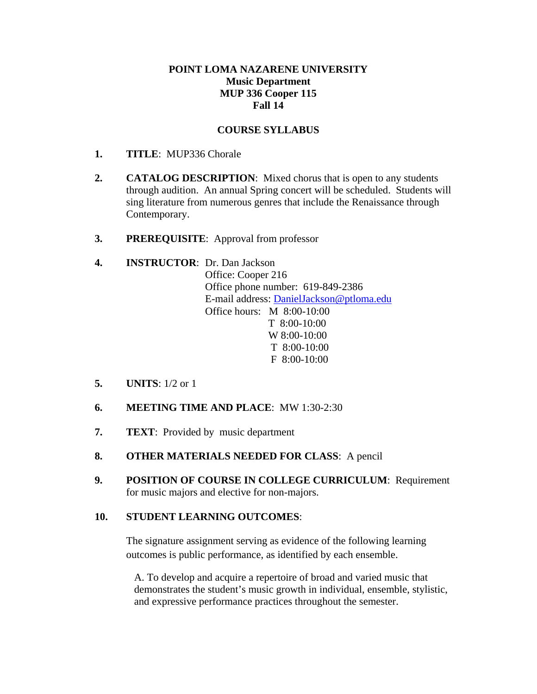#### **POINT LOMA NAZARENE UNIVERSITY Music Department MUP 336 Cooper 115 Fall 14**

#### **COURSE SYLLABUS**

- **1. TITLE**: MUP336 Chorale
- **2. CATALOG DESCRIPTION**: Mixed chorus that is open to any students through audition. An annual Spring concert will be scheduled. Students will sing literature from numerous genres that include the Renaissance through Contemporary.
- **3. PREREQUISITE**: Approval from professor

# **4. INSTRUCTOR**: Dr. Dan Jackson

Office: Cooper 216 Office phone number: 619-849-2386 E-mail address: DanielJackson@ptloma.edu Office hours: M 8:00-10:00 T 8:00-10:00 W 8:00-10:00 T 8:00-10:00  $F 8:00-10:00$ 

- **5. UNITS**: 1/2 or 1
- **6. MEETING TIME AND PLACE**: MW 1:30-2:30
- **7. TEXT**: Provided by music department
- **8. OTHER MATERIALS NEEDED FOR CLASS**: A pencil
- **9. POSITION OF COURSE IN COLLEGE CURRICULUM**: Requirement for music majors and elective for non-majors.

#### **10. STUDENT LEARNING OUTCOMES**:

The signature assignment serving as evidence of the following learning outcomes is public performance, as identified by each ensemble.

A. To develop and acquire a repertoire of broad and varied music that demonstrates the student's music growth in individual, ensemble, stylistic, and expressive performance practices throughout the semester.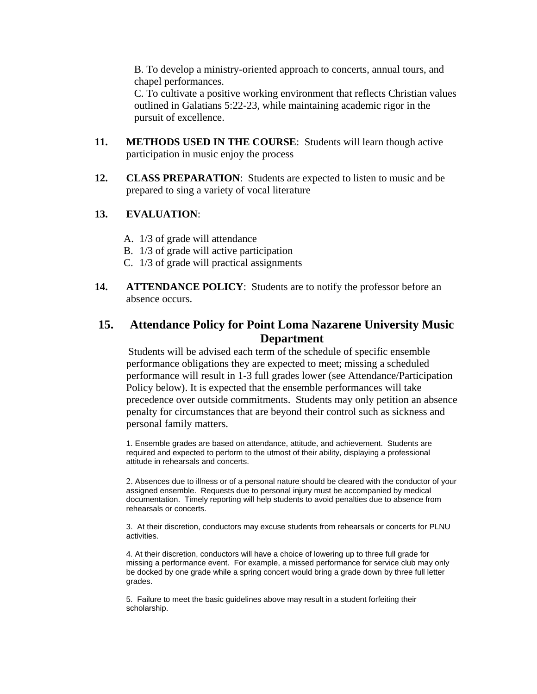B. To develop a ministry-oriented approach to concerts, annual tours, and chapel performances.

C. To cultivate a positive working environment that reflects Christian values outlined in Galatians 5:22-23, while maintaining academic rigor in the pursuit of excellence.

- **11. METHODS USED IN THE COURSE**: Students will learn though active participation in music enjoy the process
- **12. CLASS PREPARATION**: Students are expected to listen to music and be prepared to sing a variety of vocal literature

#### **13. EVALUATION**:

- A. 1/3 of grade will attendance
- B. 1/3 of grade will active participation
- C. 1/3 of grade will practical assignments
- **14. ATTENDANCE POLICY**: Students are to notify the professor before an absence occurs.

## **15. Attendance Policy for Point Loma Nazarene University Music Department**

Students will be advised each term of the schedule of specific ensemble performance obligations they are expected to meet; missing a scheduled performance will result in 1-3 full grades lower (see Attendance/Participation Policy below). It is expected that the ensemble performances will take precedence over outside commitments. Students may only petition an absence penalty for circumstances that are beyond their control such as sickness and personal family matters.

1. Ensemble grades are based on attendance, attitude, and achievement. Students are required and expected to perform to the utmost of their ability, displaying a professional attitude in rehearsals and concerts.

Absences due to illness or of a personal nature should be cleared with the conductor of your assigned ensemble. Requests due to personal injury must be accompanied by medical documentation. Timely reporting will help students to avoid penalties due to absence from rehearsals or concerts.

3. At their discretion, conductors may excuse students from rehearsals or concerts for PLNU activities.

4. At their discretion, conductors will have a choice of lowering up to three full grade for missing a performance event. For example, a missed performance for service club may only be docked by one grade while a spring concert would bring a grade down by three full letter grades.

5. Failure to meet the basic guidelines above may result in a student forfeiting their scholarship.